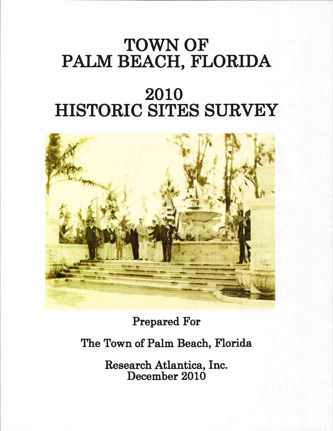# TOWN OF PALM BEACH, FLORIDA

# 2010 HISTORIC SITES SURVEY



Prepared For

The Town of Palm Beach, Florida

Research Atlantica, Inc. December 2010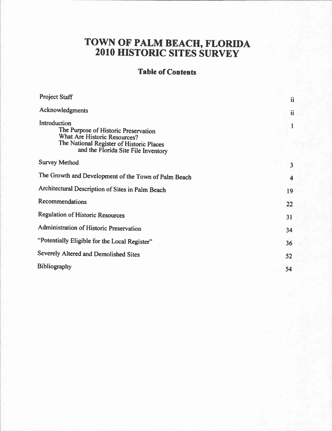# TOWN OF PALM BEACH, FLORIDA 2O1O HISTORIC SITES SURVEY

## Table of Contents

| <b>Project Staff</b>                                                                                                                                                    | ii |
|-------------------------------------------------------------------------------------------------------------------------------------------------------------------------|----|
| Acknowledgments                                                                                                                                                         | ii |
| Introduction<br>The Purpose of Historic Preservation<br>What Are Historic Resources?<br>The National Register of Historic Places<br>and the Florida Site File Inventory |    |
| <b>Survey Method</b>                                                                                                                                                    | 3  |
| The Growth and Development of the Town of Palm Beach                                                                                                                    | 4  |
| Architectural Description of Sites in Palm Beach                                                                                                                        | 19 |
| Recommendations                                                                                                                                                         | 22 |
| <b>Regulation of Historic Resources</b>                                                                                                                                 | 31 |
| Administration of Historic Preservation                                                                                                                                 | 34 |
| "Potentially Eligible for the Local Register"                                                                                                                           | 36 |
| Severely Altered and Demolished Sites                                                                                                                                   | 52 |
| <b>Bibliography</b>                                                                                                                                                     | 54 |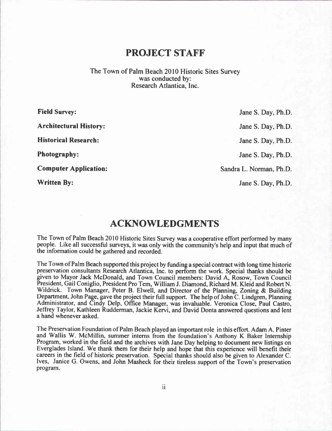## PROJECT STAFF

The Town of Palm Beach 2010 Historic Sites Survev was conducted by: Research Atlantica. Inc.

| <b>Field Survey:</b>          | Jane S. Day, Ph.D.      |
|-------------------------------|-------------------------|
| <b>Architectural History:</b> | Jane S. Day, Ph.D.      |
| <b>Historical Research:</b>   | Jane S. Day, Ph.D.      |
| <b>Photography:</b>           | Jane S. Day, Ph.D.      |
| <b>Computer Application:</b>  | Sandra L. Norman, Ph.D. |
| <b>Written By:</b>            | Jane S. Day, Ph.D.      |

## ACKNOWLEDGMENTS

The Town of Palm Beach 2010 Historic Sites Survey was a cooperative effort performed by many people. Like all successful surveys, it was only with the community's help and input that much of the information could be gathered and recorded.

The Town of Palm Beach supported this project by funding a special contract with long time historic preservation consultants Research Atlantica, Inc. to perform the work. Special thanks should be given to Mayor Jack McDonald, and Town Council members: David A, Rosow, Town Council President, Gail Coniglio, President Pro Tem. William J. Diamond. Richard M. Kleid and Robert N. Wildrick. Town Manager, Peter B. Elwell, and Director of the Planning, Zoning & Building Department, John Page, gave the project their full support. The help of John C. Lindgren, Planning Administrator, and Cindy Delp, Office Manager, was invaluable. Veronica Close, Paul Castro, Jeffrey Taylor, Kathleen Rudderman, Jackie Kervi, and David Donta answered questions and lent a hand whenever asked.

The Preservation Foundation of Palm Beach played an important role in this effort. Adam A. Pinter and Wallis W. McMillin, summer interns from the foundation's Anthony K Baker Internship Program, worked in the field and the archives with Jane Day helping to document new listings on Everglades Island. We thank them for their help and hope that this experience will benefit their careers in the field of historic preservation. Special thanks should also be given to Alexander C. Ives, Janice G. Owens, and John Masheck for their tireless support of the Town's preservation program.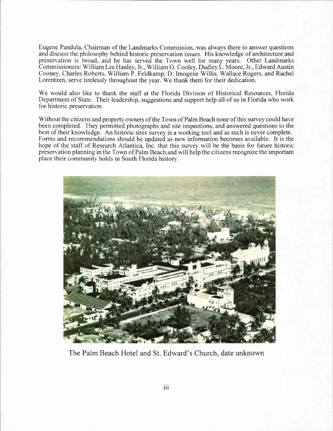Eugene Pandula. Chairman of the Landmarks Commission. was always there to answer questions and discuss the philosophy behind historic preservation issues. His knowledge of architecture and preservation is broad, and he has served the Town well for many years. Other Landmarks Commissioners: William Lee Hanley. Jr., William O. Cooley. Dudley L. Moore, Jr., Edward Austin Cooney. Charles Roberts. William P. Feldkamp, D. Imogene Willis. Wallace Rogers. and Rachel Lorentzen, serve tirelessly throughout the year. We thank them for their dedication.

We would also like to thank the staff at the Florida Division of Historical Resources, Florida Department of State. Their leadership. suggestions and support help all of us in Florida who work for historic preservation.

Without the citizens and property owners of the Town of Palm Beach none of this survey could have been completed. They permitted photographs and site inspections. and answered questions to the best of their knowledge. An historic sites survey is a working tool and as such is never complete. Forms and recommendations should be updated as new information becomes available. It is the hope of the staff of Research Atlantica, Inc. that this survey will be the basis for future historic preservation planning in the Town of Palm Beach and will help the citizens recognize the important place their community holds in South Florida history.



The Palm Beach Hotel and St. Edward's Church. date unknown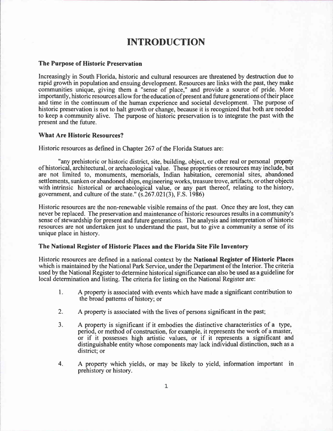## INTRODUCTION

#### The Purpose of Historic Preservation

Increasingly in South Florida, historic and cultural resources are threatened by destruction due to rapid growth in population and ensuing development. Resources are links with the past, they make communities unique, giving them a "sense of place," and provide a source of pride. More importantly, historic resources allow for the education of present and future generations of their place and time in the continuum of the human experience and societal development. The purpose of historic preservation is not to halt growth or change, because it is recognized that both are needed to keep a community alive. The purpose of historic preservation is to integrate the past with the present and the future.

#### What Are Historic Resources?

Historic resources as defined in Chapter 267 of the Florida Statues are:

"any prehistoric or historic district, site, building, object, or other real or personal propety of historical, architectural, or archaeological value. These properties or resources may include, but are not limited to, monuments, memorials, Indian habitation, ceremonial sites, abandoned settlements, sunken or abandoned ships, engineering works, treasure trove, artifacts, or other objects with intrinsic historical or archaeological value, or any part thereof, relating to the history, government, and culture of the state."  $(s.267.021(3), F.S. 1986)$ 

Historic resources are the non-renewable visible remains of the past. Once they are lost, they can never be replaced. The preservation and maintenance of historic resources results in a community's sense of stewardship for present and future generations. The analysis and interpretation of historic resources are not undertaken just to understand the past, but to give a community a sense of its unique place in history.

### The National Register of Historic Places and the Florida Site File Inventory

Historic resources are defined in a national context by the National Register of Historic Places which is maintained by the National Park Service, under the Department of the Interior. The criteria used by the National Register to determine historical significance can also be used as a guideline for local determination and listing. The criteria for listing on the National Register are:

- A property is associated with events which have made a significant contribution to the broad patterns of history; or l.
- A property is associated with the lives of persons significant in the past; 2.
- A property is significant if it embodies the distinctive characteristics of a type, period, or method of construction, for example, it represents the work of a master, or if it possesses high artistic values, or if it represents a significant and distinguishable entity whose components may lack individual distinction, such as a district; or 3.
- A property which yields, or may be likely to yield, information important in prehistory or history. 4.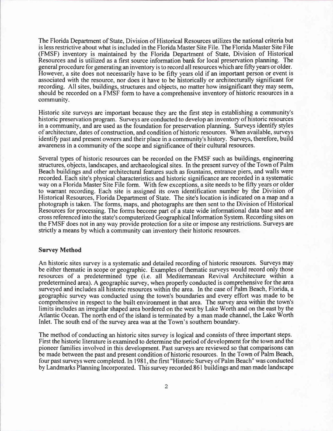The Florida Department of State, Division of Historical Resources utilizes the national criteria but is less restrictive about what is included in the Florida Master Site File. The Florida Master Site File (FMSF) inventory is maintained by the Florida Department of State, Division of Historical Resources and is utilized as a first source information bank for local preservation planning. The general procedure for generating an inventory is to record all resources which are fifty years or older. However, a site does not necessarily have to be fifty years old if an important person or event is associated with the resource, nor does it have to be historically or architecturally significant for recording. All sites, buildings, structures and objects, no matter how insignificant they may seem, should be recorded on a FMSF form to have a comprehensive inventory of historic resources in a community.

Historic site surveys are important because they are the first step in establishing a community's historic preservation program. Surveys are conducted to develop an inventory of historic resources in a community, and are used as the foundation for preservation planning. Surveys identify styles of architecture, dates of construction, and condition of historic resources. When available, surveys identify past and present owners and their place in a community's history. Surveys, therefore, build awareness in a community of the scope and significance of their cultural resources.

Several types of historic resources can be recorded on the FMSF such as buildings, engineering structures, objects, landscapes, and archaeological sites. In the present survey of the Town of Palm Beach buildings and other architectural features such as fountains, entrance piers, and walls were recorded. Each site's physical characteristics and historic significance are recorded in a systematic way on a Florida Master Site File form. With few exceptions, a site needs to be fifty years or older to warrant recording. Each site is assigned its own identification number by the Division of Historical Resources, Florida Department of State. The site's location is indicated on a map and a photograph is taken. The forms, maps, and photographs are then sent to the Division of Historical Resources for processing. The forms become part of a state wide informational data base and are cross referenced into the state's computerized Geographical Information System. Recording sites on the FMSF does not in any way provide protection for a site or impose any restrictions. Surveys are strictly a means by which a community can inventory their historic resources.

#### **Survey Method**

An historic sites survey is a systematic and detailed recording of historic resources. Surveys may be either thematic in scope or geographic. Examples of thematic surveys would record only those resources of a predetermined type (i.e. all Mediterranean Revival Architecture within a predetermined area). A geographic survey, when properly conducted is comprehensive for the area surveyed and includes all historic resources within the area. In the case of Palm Beach, Florida a geographic survey was conducted using the town's boundaries and every effort was made to be comprehensive in respect to the built environment in that area. The survey area within the town's limits includes an irregular shaped area bordered on the west by Lake Worth and on the east by the Atlantic Ocean. The north end of the island is terminated by a man made channel, the Lake Worth Inlet. The south end of the survey area was at the Town's southern boundary.

The method of conducting an historic sites survey is logical and consists of three important steps. First the historic literature is examined to determine the period of development for the town and the pioneer families involved in this development. Past surveys are reviewed so that comparisons can be made between the past and present condition of historic resources. In the Town of Palm Beach, four past surveys were completed. In 1981, the first "Historic Survey of Palm Beach" was conducted by Landmarks Planning Incorporated. This survey recorded 861 buildings and man made landscape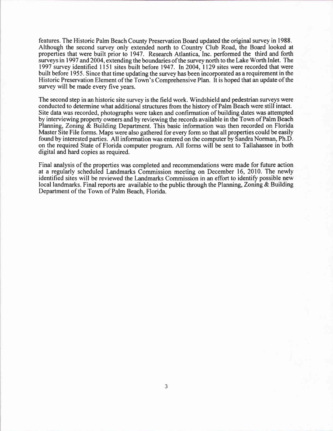features. The Historic Palm Beach County Preservation Board updated the original survey in 1988. Although the second survey only extended north to Country Club Road, the Board looked at properties that were built prior to 1947. Research Atlantica, Inc. performed the third and forth surveys in 1997 and 2004, extending the boundaries ofthe survey north to the Lake Worth Inlet. The 1997 survey identified 1151 sites built before 1947. In 2004, 1129 sites were recorded that were built before 1955. Since that time updating the survey has been incorporated as a requirement in the Historic Preservation Element ofthe Town's Comprehensive Plan. It is hoped that an update of the survey will be made every five years.

The second step in an historic site survey is the field work. Windshield and pedestrian surveys were conducted to determine what additional structures from the history of Palm Beach were still intact. Site data was recorded, photographs were taken and confirmation of building dates was attempted by interviewing property owners and by reviewing the records available in the Town of Palm Beach Planning, Zoning & Building Department. This basic information was then recorded on Florida Master Site File forms. Maps were also gathered for every form so that all properties could be easily found by interested parties. All information was entered on the computer by Sandra Norman, Ph.D. on the required State of Florida computer program. All forms will be sent to Tallahassee in both digital and hard copies as required.

Final analysis of the properties was completed and recommendations were made for future action at a regularly scheduled Landmarks Commission meeting on December 16, 2010. The newly identified sites will be reviewed the Landmarks Commission in an effort to identify possible new local landmarks. Final reports are available to the public through the Planning, Zoning  $\&$  Building Department of the Town of Palm Beach, Florida.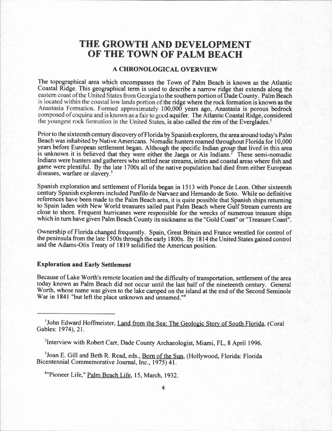## THE GROWTH AND DEVELOPMENT OF THE TOWN OF PALM BEACH

## A CHRONOLOGICAL OVERVIEW

The topographical area which encompasses the Town of Palm Beach is known as the Atlantic Coastal Ridge. This geographical term is used to describe a narrow ridge that extends along the eastern coast of the United States from Georgia to the southern portion of Dade County. Palm Beach is located within the coastal low lands portion of the ridge where the rock formation is known as the Anastasia Formation. Formed approximately 100,000 years ago, Anastasia is porous bedrock composed of coquina and is known as a fair to good aquifer. The Atlantic Coastal Ridge, considered , is also called the rim of the Everglades.'

Prior to the sixteenth century discovery of Florida by Spanish explorers, the area around today's Palm Beach was inhabited by Native Americans. Nomadic hunters roamed throughout Florida for 10,000 years before European settlement began. Although the specific Indian group that lived in this area is unknown it is believed that they were either the Jaega or Ais Indians.<sup> $2$ </sup> These semi-nomadic Indians were hunters and gatherers who settled near streams, inlets and coastal areas where fish and game were plentiful. By the late 1700s all of the native population had died from either European diseases, warfare or slavery.<sup>3</sup>

Spanish exploration and settlement of Florida began in l5l3 with Ponce de Leon. Other sixteenth century Spanish explorers included Panfilo de Narvaez and Hernando de Soto. While no definitive references have been made to the Palm Beach area, it is quite possible that Spanish ships returning to Spain laden with New World treasures sailed past Palm Beach where Gulf Stream currents are close to shore. Frequent hurricanes were responsible for the wrecks of numerous treasure ships which in turn have given Palm Beach County its nickname as the "Gold Coast" or "Treasure Coast".

Ownership of Florida changed frequently. Spain, Great Britain and France wrestled for control of the peninsula from the late 1500s through the early 1800s. By 1814 the United States gained control and the Adams-Otis Treaty of 1819 solidified the American position.

### Exploration and Early Settlement

Because of Lake Worth's remote location and the difficulty of transportation, settlement of the area today known as Palm Beach did not occur until the last half of the nineteenth century. General Worth, whose name was given to the lake camped on the island at the end of the Second Seminole War in 1841 "but left the place unknown and unnamed."<sup>4</sup>

<sup>2</sup>Interview with Robert Carr, Dade County Archaeologist, Miami, FL, 8 April 1996.

<sup>3</sup>Joan E. Gill and Beth R. Read, eds., Born of the Sun, (Hollywood, Florida: Florida Bicentennial Commemorative Journal, Inc., 1975) 41.

<sup>4</sup>"Pioneer Life," Palm Beach Life, 15, March, 1932.

<sup>&</sup>lt;sup>1</sup>John Edward Hoffmeister, Land from the Sea: The Geologic Story of South Florida, (Coral Gables: 1974), 21.